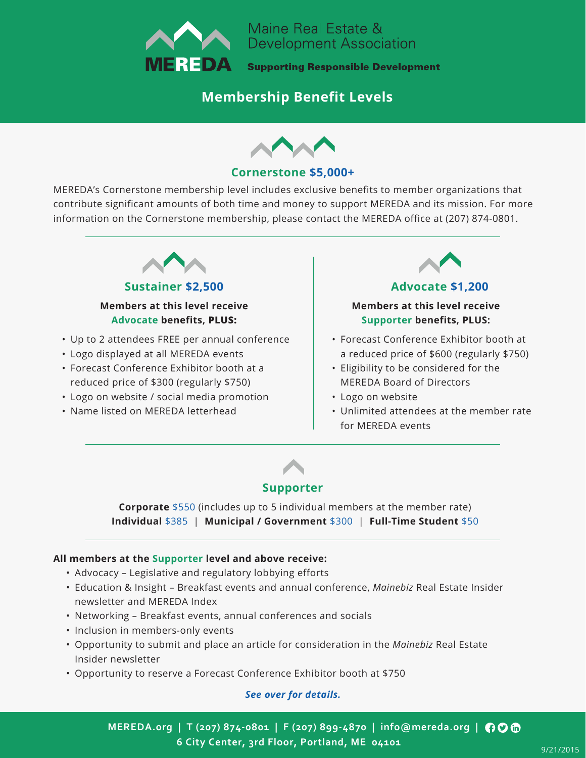

Maine Real Estate & **Development Association** 

**Supporting Responsible Development** 

# **Membership Benefit Levels**



### **Cornerstone \$5,000+**

MEREDA's Cornerstone membership level includes exclusive benefits to member organizations that contribute significant amounts of both time and money to support MEREDA and its mission. For more information on the Cornerstone membership, please contact the MEREDA office at (207) 874-0801.



## **Sustainer \$2,500 Advocate \$1,200**

#### **Members at this level receive Advocate benefits, PLUS:**

- Up to 2 attendees FREE per annual conference
- Logo displayed at all MEREDA events
- Forecast Conference Exhibitor booth at a reduced price of \$300 (regularly \$750)
- Logo on website / social media promotion
- Name listed on MEREDA letterhead



#### **Members at this level receive Supporter benefits, PLUS:**

- Forecast Conference Exhibitor booth at a reduced price of \$600 (regularly \$750)
- Eligibility to be considered for the MEREDA Board of Directors
- Logo on website
- Unlimited attendees at the member rate for MEREDA events



## **Supporter**

**Corporate** \$550 (includes up to 5 individual members at the member rate) **Individual** \$385 | **Municipal / Government** \$300 | **Full-Time Student** \$50

#### **All members at the Supporter level and above receive:**

- Advocacy Legislative and regulatory lobbying efforts
- Education & Insight Breakfast events and annual conference, *Mainebiz* Real Estate Insider newsletter and MEREDA Index
- Networking Breakfast events, annual conferences and socials
- Inclusion in members-only events
- Opportunity to submit and place an article for consideration in the *Mainebiz* Real Estate Insider newsletter
- Opportunity to reserve a Forecast Conference Exhibitor booth at \$750

#### *See over for details.*